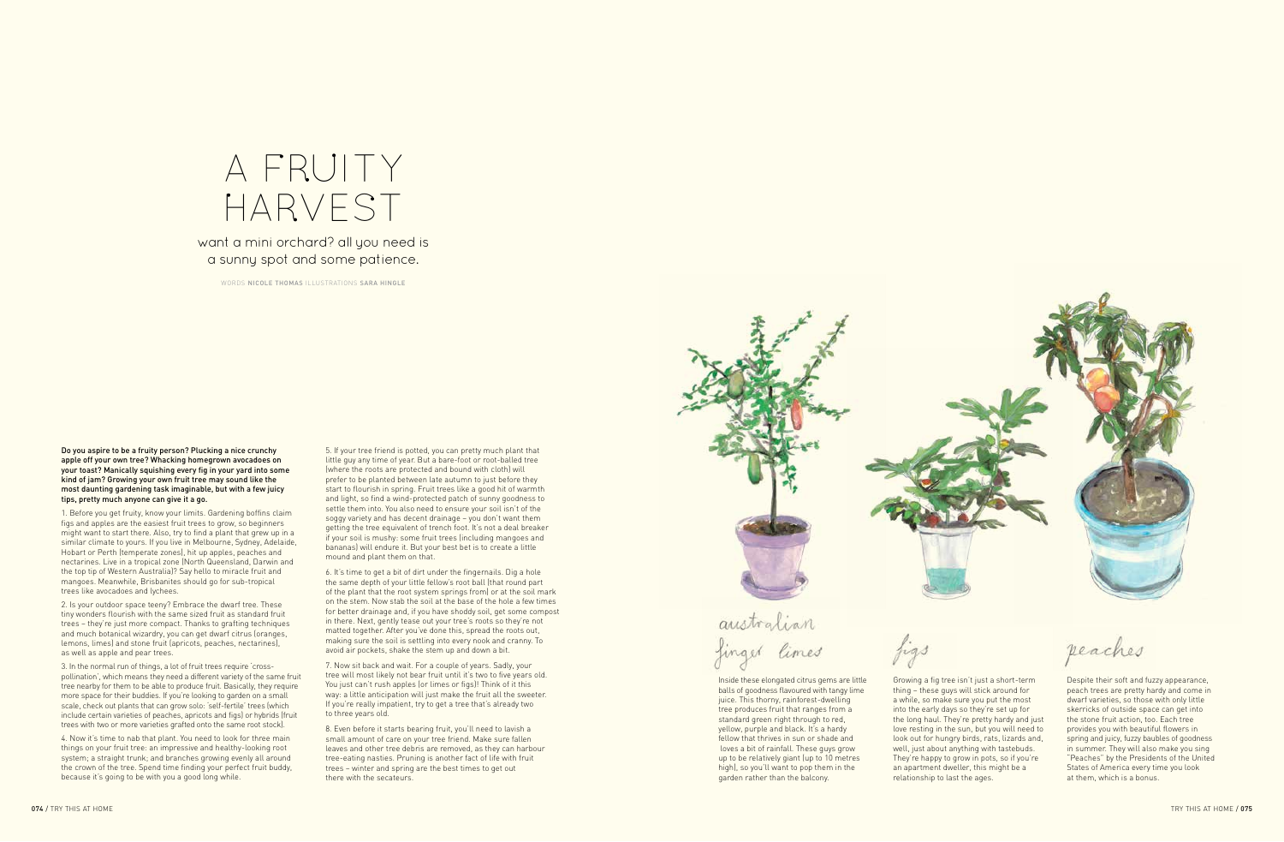Do you aspire to be a fruity person? Plucking a nice crunchy apple off your own tree? Whacking homegrown avocadoes on your toast? Manically squishing every fig in your yard into some kind of jam? Growing your own fruit tree may sound like the most daunting gardening task imaginable, but with a few juicy tips, pretty much anyone can give it a go.

1. Before you get fruity, know your limits. Gardening boffins claim figs and apples are the easiest fruit trees to grow, so beginners might want to start there. Also, try to find a plant that grew up in a similar climate to yours. If you live in Melbourne, Sydney, Adelaide, Hobart or Perth (temperate zones), hit up apples, peaches and nectarines. Live in a tropical zone (North Queensland, Darwin and the top tip of Western Australia)? Say hello to miracle fruit and mangoes. Meanwhile, Brisbanites should go for sub-tropical trees like avocadoes and lychees.

2. Is your outdoor space teeny? Embrace the dwarf tree. These tiny wonders flourish with the same sized fruit as standard fruit trees – they're just more compact. Thanks to grafting techniques and much botanical wizardry, you can get dwarf citrus (oranges, lemons, limes) and stone fruit (apricots, peaches, nectarines), as well as apple and pear trees.

3. In the normal run of things, a lot of fruit trees require 'crosspollination', which means they need a different variety of the same fruit tree nearby for them to be able to produce fruit. Basically, they require more space for their buddies. If you're looking to garden on a small scale, check out plants that can grow solo: 'self-fertile' trees (which include certain varieties of peaches, apricots and figs) or hybrids (fruit trees with two or more varieties grafted onto the same root stock).

4. Now it's time to nab that plant. You need to look for three main things on your fruit tree: an impressive and healthy-looking root system; a straight trunk; and branches growing evenly all around the crown of the tree. Spend time finding your perfect fruit buddy, because it's going to be with you a good long while.

## A FRUITY harvest

5. If your tree friend is potted, you can pretty much plant that little guy any time of year. But a bare-foot or root-balled tree (where the roots are protected and bound with cloth) will prefer to be planted between late autumn to just before they start to flourish in spring. Fruit trees like a good hit of warmth and light, so find a wind-protected patch of sunny goodness to settle them into. You also need to ensure your soil isn't of the soggy variety and has decent drainage – you don't want them getting the tree equivalent of trench foot. It's not a deal breaker if your soil is mushy: some fruit trees (including mangoes and bananas) will endure it. But your best bet is to create a little mound and plant them on that.

6. It's time to get a bit of dirt under the fingernails. Dig a hole the same depth of your little fellow's root ball (that round part of the plant that the root system springs from) or at the soil mark on the stem. Now stab the soil at the base of the hole a few times for better drainage and, if you have shoddy soil, get some compost in there. Next, gently tease out your tree's roots so they're not matted together. After you've done this, spread the roots out, making sure the soil is settling into every nook and cranny. To avoid air pockets, shake the stem up and down a bit.

7. Now sit back and wait. For a couple of years. Sadly, your tree will most likely not bear fruit until it's two to five years old. You just can't rush apples (or limes or figs)! Think of it this way: a little anticipation will just make the fruit all the sweeter. If you're really impatient, try to get a tree that's already two to three years old.

8. Even before it starts bearing fruit, you'll need to lavish a small amount of care on your tree friend. Make sure fallen leaves and other tree debris are removed, as they can harbour tree-eating nasties. Pruning is another fact of life with fruit trees – winter and spring are the best times to get out there with the secateurs.



australian finger limes



reaches

## want a mini orchard? all you need is a sunny spot and some patience.

WORDS NICOLE THOMAS ILLUSTRATIONS SARA HINGLE

Inside these elongated citrus gems are little balls of goodness flavoured with tangy lime juice. This thorny, rainforest-dwelling tree produces fruit that ranges from a standard green right through to red, yellow, purple and black. It's a hardy fellow that thrives in sun or shade and loves a bit of rainfall. These guys grow up to be relatively giant (up to 10 metres high), so you'll want to pop them in the garden rather than the balcony.

Growing a fig tree isn't just a short-term thing – these guys will stick around for a while, so make sure you put the most into the early days so they're set up for the long haul. They're pretty hardy and just love resting in the sun, but you will need to look out for hungry birds, rats, lizards and, well, just about anything with tastebuds. They're happy to grow in pots, so if you're an apartment dweller, this might be a relationship to last the ages.

Despite their soft and fuzzy appearance, peach trees are pretty hardy and come in dwarf varieties, so those with only little skerricks of outside space can get into the stone fruit action, too. Each tree provides you with beautiful flowers in spring and juicy, fuzzy baubles of goodness in summer. They will also make you sing "Peaches" by the Presidents of the United States of America every time you look at them, which is a bonus.